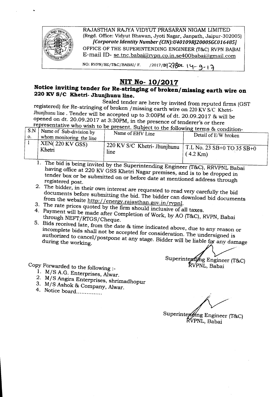

## **NIT No- 10/2017**

## Notice inviting tender for Re-stringing of broken/missing earth wire on **220 KV***SIC* **Khetri- Jhunjhunu line.**

Sealed tender are here by invited from reputed firms (GST registered) for Re-stringing of broken /missing earth wire on 220 KV S/C Khetri-Jhunihunu line. Tender will be accepted up to 3:00PM of dt. 20.09.2017 & will be opened on dt. 20.09.2017 at 3:30PM, in the presence of tenderer's or there

|                | representative who wish to be present. Subject to the following terms & condition- |                                                                        |                      |  |  |  |  |  |  |  |
|----------------|------------------------------------------------------------------------------------|------------------------------------------------------------------------|----------------------|--|--|--|--|--|--|--|
|                | $+$ S.N   Name of Sub-division by                                                  |                                                                        |                      |  |  |  |  |  |  |  |
| $\mathbf{O}$ . | $\mu$ whom monitoring the line                                                     | Name of EHV Line                                                       | Detail of E/W broken |  |  |  |  |  |  |  |
|                | $KEN(220 \text{ KV GSS})$                                                          |                                                                        |                      |  |  |  |  |  |  |  |
|                | Khetri                                                                             | $\vert$ 220 KV S/C Khetri-Jhunjhunu $\vert$ T.L No. 23 SB+0 TO 35 SB+0 |                      |  |  |  |  |  |  |  |
|                |                                                                                    | line                                                                   | $(4.2 \text{ Km})$   |  |  |  |  |  |  |  |
|                |                                                                                    |                                                                        |                      |  |  |  |  |  |  |  |

1. The bid is being invited by the Superintending Engineer (T&C), RRVPNL Babai having office at 220 KV GSS Khetri Nagar premises, and is to be dropped in tender box or be submitted on or before date at mentioned address through registered post.

- 2. The bidder, in their own interest are requested to read *very* carefully the bid documents before submitting the bid. The bidder can download bid documents from the website http://energy.rajasthan.gov.in/rvpnl.
- 3. The rate prices quoted by the firm should inclusive of all taxes.
- 4. Payment will be made after Completion of Work, by AO (T&C), RVPN, Babai through NEFr/RTGS/Cheque.
- 5. Bids received late, from the date & time indicated above, due to any reason or incomplete bids shall not be accepted for consideration. The undersigned is authorized to cancel/postpone at any stage. Bidder will be liable for any damage

Superinterding Engineer (T&C) RVPNL, Babai

Copy Forwarded to the following :\_

- 1. M/S A.G. Enterprises, Alwar.
- 2. M/S Angira Enterprises, shrimadhopur
- 3. M/S Ashok & Company, Alwar.
- 4. Notice board................

Superinter *(Mng Engineer (T&C)* RVPNL, Babai